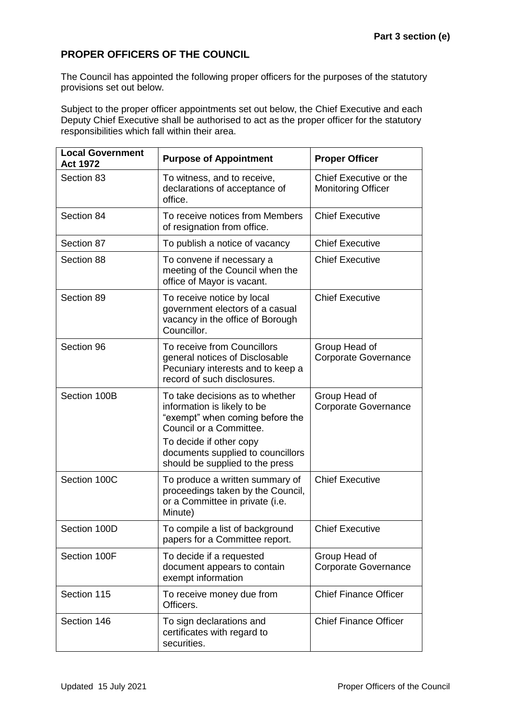## **PROPER OFFICERS OF THE COUNCIL**

The Council has appointed the following proper officers for the purposes of the statutory provisions set out below.

Subject to the proper officer appointments set out below, the Chief Executive and each Deputy Chief Executive shall be authorised to act as the proper officer for the statutory responsibilities which fall within their area.

| <b>Local Government</b><br><b>Act 1972</b> | <b>Purpose of Appointment</b>                                                                                                                                                                | <b>Proper Officer</b>                               |
|--------------------------------------------|----------------------------------------------------------------------------------------------------------------------------------------------------------------------------------------------|-----------------------------------------------------|
| Section 83                                 | To witness, and to receive,<br>declarations of acceptance of<br>office.                                                                                                                      | Chief Executive or the<br><b>Monitoring Officer</b> |
| Section 84                                 | To receive notices from Members<br>of resignation from office.                                                                                                                               | <b>Chief Executive</b>                              |
| Section 87                                 | To publish a notice of vacancy                                                                                                                                                               | <b>Chief Executive</b>                              |
| Section 88                                 | To convene if necessary a<br>meeting of the Council when the<br>office of Mayor is vacant.                                                                                                   | <b>Chief Executive</b>                              |
| Section 89                                 | To receive notice by local<br>government electors of a casual<br>vacancy in the office of Borough<br>Councillor.                                                                             | <b>Chief Executive</b>                              |
| Section 96                                 | To receive from Councillors<br>general notices of Disclosable<br>Pecuniary interests and to keep a<br>record of such disclosures.                                                            | Group Head of<br><b>Corporate Governance</b>        |
| Section 100B                               | To take decisions as to whether<br>information is likely to be<br>"exempt" when coming before the<br>Council or a Committee.<br>To decide if other copy<br>documents supplied to councillors | Group Head of<br><b>Corporate Governance</b>        |
| Section 100C                               | should be supplied to the press<br>To produce a written summary of<br>proceedings taken by the Council,<br>or a Committee in private (i.e.<br>Minute)                                        | <b>Chief Executive</b>                              |
| Section 100D                               | To compile a list of background<br>papers for a Committee report.                                                                                                                            | <b>Chief Executive</b>                              |
| Section 100F                               | To decide if a requested<br>document appears to contain<br>exempt information                                                                                                                | Group Head of<br><b>Corporate Governance</b>        |
| Section 115                                | To receive money due from<br>Officers.                                                                                                                                                       | <b>Chief Finance Officer</b>                        |
| Section 146                                | To sign declarations and<br>certificates with regard to<br>securities.                                                                                                                       | <b>Chief Finance Officer</b>                        |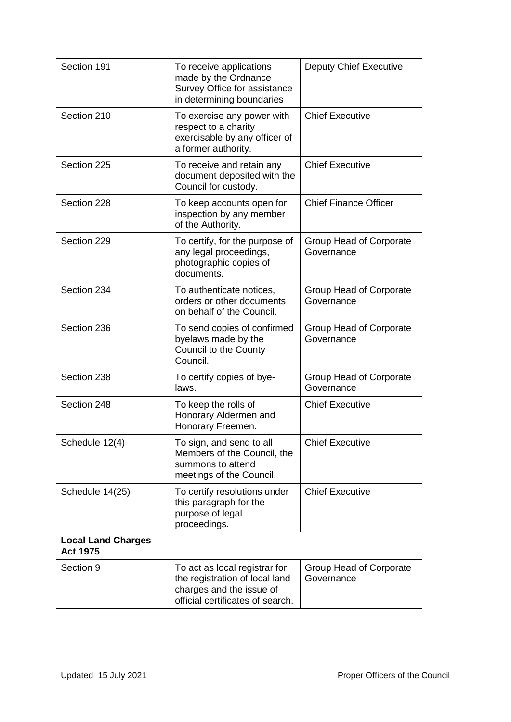| Section 191                                  | To receive applications<br>made by the Ordnance<br>Survey Office for assistance<br>in determining boundaries                    | <b>Deputy Chief Executive</b>         |
|----------------------------------------------|---------------------------------------------------------------------------------------------------------------------------------|---------------------------------------|
| Section 210                                  | To exercise any power with<br>respect to a charity<br>exercisable by any officer of<br>a former authority.                      | <b>Chief Executive</b>                |
| Section 225                                  | To receive and retain any<br>document deposited with the<br>Council for custody.                                                | <b>Chief Executive</b>                |
| Section 228                                  | To keep accounts open for<br>inspection by any member<br>of the Authority.                                                      | <b>Chief Finance Officer</b>          |
| Section 229                                  | To certify, for the purpose of<br>any legal proceedings,<br>photographic copies of<br>documents.                                | Group Head of Corporate<br>Governance |
| Section 234                                  | To authenticate notices,<br>orders or other documents<br>on behalf of the Council.                                              | Group Head of Corporate<br>Governance |
| Section 236                                  | To send copies of confirmed<br>byelaws made by the<br>Council to the County<br>Council.                                         | Group Head of Corporate<br>Governance |
| Section 238                                  | To certify copies of bye-<br>laws.                                                                                              | Group Head of Corporate<br>Governance |
| Section 248                                  | To keep the rolls of<br>Honorary Aldermen and<br>Honorary Freemen.                                                              | <b>Chief Executive</b>                |
| Schedule 12(4)                               | To sign, and send to all<br>Members of the Council, the<br>summons to attend<br>meetings of the Council.                        | <b>Chief Executive</b>                |
| Schedule 14(25)                              | To certify resolutions under<br>this paragraph for the<br>purpose of legal<br>proceedings.                                      | <b>Chief Executive</b>                |
| <b>Local Land Charges</b><br><b>Act 1975</b> |                                                                                                                                 |                                       |
| Section 9                                    | To act as local registrar for<br>the registration of local land<br>charges and the issue of<br>official certificates of search. | Group Head of Corporate<br>Governance |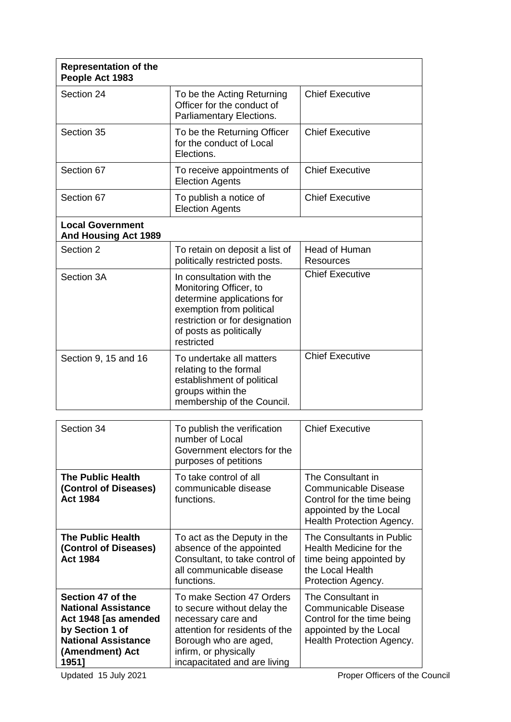| <b>Representation of the</b><br>People Act 1983                                                                          |                                                                                                                                                                                         |                                                                                                                                       |
|--------------------------------------------------------------------------------------------------------------------------|-----------------------------------------------------------------------------------------------------------------------------------------------------------------------------------------|---------------------------------------------------------------------------------------------------------------------------------------|
| Section 24                                                                                                               | To be the Acting Returning<br>Officer for the conduct of<br>Parliamentary Elections.                                                                                                    | <b>Chief Executive</b>                                                                                                                |
| Section 35                                                                                                               | To be the Returning Officer<br>for the conduct of Local<br>Elections.                                                                                                                   | <b>Chief Executive</b>                                                                                                                |
| Section 67                                                                                                               | To receive appointments of<br><b>Election Agents</b>                                                                                                                                    | <b>Chief Executive</b>                                                                                                                |
| Section 67                                                                                                               | To publish a notice of<br><b>Election Agents</b>                                                                                                                                        | <b>Chief Executive</b>                                                                                                                |
| <b>Local Government</b><br><b>And Housing Act 1989</b>                                                                   |                                                                                                                                                                                         |                                                                                                                                       |
| Section 2                                                                                                                | To retain on deposit a list of<br>politically restricted posts.                                                                                                                         | Head of Human<br><b>Resources</b>                                                                                                     |
| Section 3A                                                                                                               | In consultation with the<br>Monitoring Officer, to<br>determine applications for<br>exemption from political<br>restriction or for designation<br>of posts as politically<br>restricted | <b>Chief Executive</b>                                                                                                                |
| Section 9, 15 and 16                                                                                                     | To undertake all matters<br>relating to the formal<br>establishment of political<br>groups within the<br>membership of the Council.                                                     | <b>Chief Executive</b>                                                                                                                |
|                                                                                                                          |                                                                                                                                                                                         |                                                                                                                                       |
| Section 34                                                                                                               | To publish the verification<br>number of Local<br>Government electors for the<br>purposes of petitions                                                                                  | <b>Chief Executive</b>                                                                                                                |
| <b>The Public Health</b><br>(Control of Diseases)<br><b>Act 1984</b>                                                     | To take control of all<br>communicable disease<br>functions.                                                                                                                            | The Consultant in<br>Communicable Disease<br>Control for the time being<br>appointed by the Local<br>Health Protection Agency.        |
| <b>The Public Health</b><br>(Control of Diseases)<br><b>Act 1984</b>                                                     | To act as the Deputy in the<br>absence of the appointed<br>Consultant, to take control of<br>all communicable disease<br>functions.                                                     | The Consultants in Public<br>Health Medicine for the<br>time being appointed by<br>the Local Health<br>Protection Agency.             |
| Section 47 of the<br><b>National Assistance</b><br>Act 1948 [as amended<br>by Section 1 of<br><b>National Assistance</b> | To make Section 47 Orders<br>to secure without delay the<br>necessary care and<br>attention for residents of the<br>Borough who are aged,                                               | The Consultant in<br><b>Communicable Disease</b><br>Control for the time being<br>appointed by the Local<br>Health Protection Agency. |

infirm, or physically

incapacitated and are living

**(Amendment) Act** 

**1951]**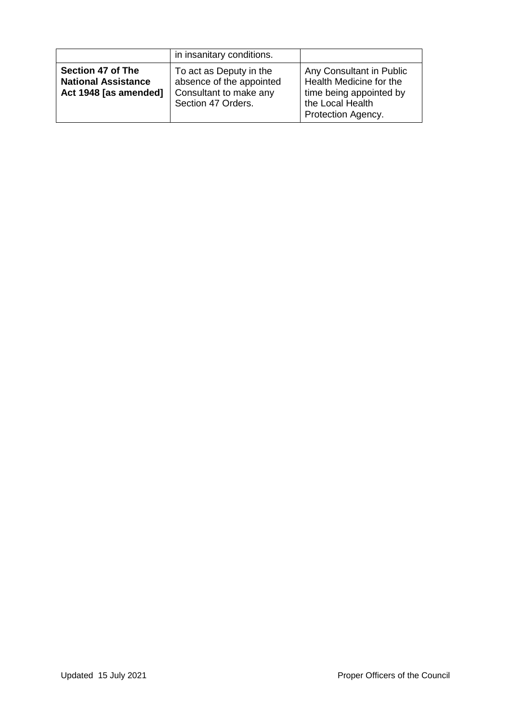|                                                                          | in insanitary conditions.                                                                           |                                                                                                                          |
|--------------------------------------------------------------------------|-----------------------------------------------------------------------------------------------------|--------------------------------------------------------------------------------------------------------------------------|
| Section 47 of The<br><b>National Assistance</b><br>Act 1948 [as amended] | To act as Deputy in the<br>absence of the appointed<br>Consultant to make any<br>Section 47 Orders. | Any Consultant in Public<br>Health Medicine for the<br>time being appointed by<br>the Local Health<br>Protection Agency. |